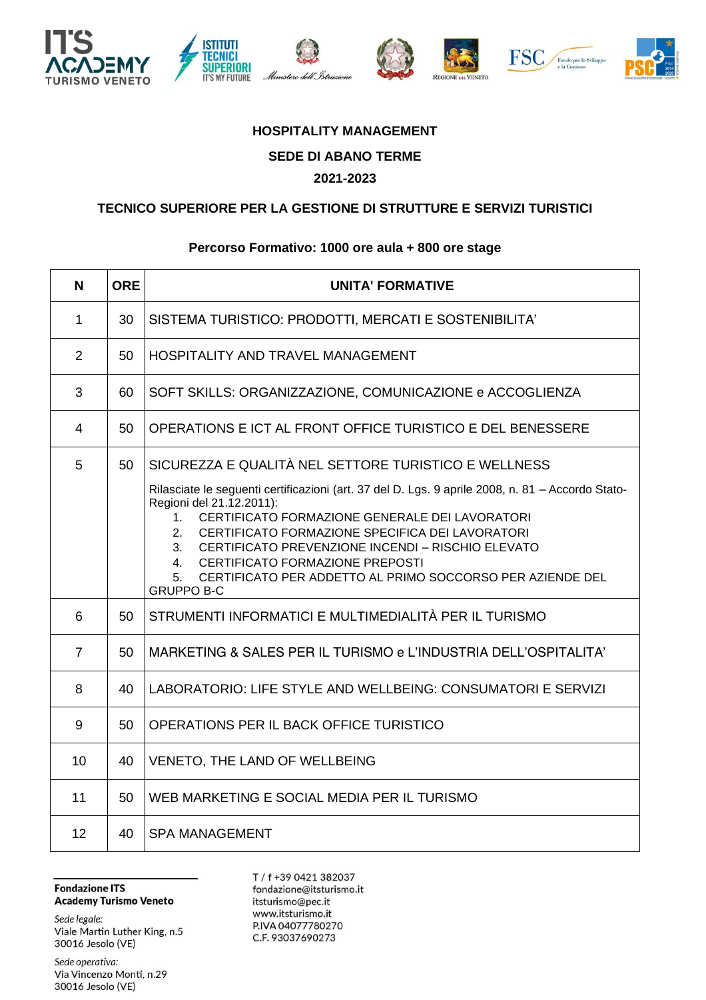









## **HOSPITALITY MANAGEMENT SEDE DI ABANO TERME 2021-2023**

## **TECNICO SUPERIORE PER LA GESTIONE DI STRUTTURE E SERVIZI TURISTICI**

## **Percorso Formativo: 1000 ore aula + 800 ore stage**

| N              | <b>ORE</b> | <b>UNITA' FORMATIVE</b>                                                                                                                                                                                                                                                                                                                                                                                                                            |
|----------------|------------|----------------------------------------------------------------------------------------------------------------------------------------------------------------------------------------------------------------------------------------------------------------------------------------------------------------------------------------------------------------------------------------------------------------------------------------------------|
| 1              | 30         | SISTEMA TURISTICO: PRODOTTI, MERCATI E SOSTENIBILITA'                                                                                                                                                                                                                                                                                                                                                                                              |
| 2              | 50         | HOSPITALITY AND TRAVEL MANAGEMENT                                                                                                                                                                                                                                                                                                                                                                                                                  |
| 3              | 60         | SOFT SKILLS: ORGANIZZAZIONE, COMUNICAZIONE e ACCOGLIENZA                                                                                                                                                                                                                                                                                                                                                                                           |
| $\overline{4}$ | 50         | OPERATIONS E ICT AL FRONT OFFICE TURISTICO E DEL BENESSERE                                                                                                                                                                                                                                                                                                                                                                                         |
| 5              | 50         | SICUREZZA E QUALITÀ NEL SETTORE TURISTICO E WELLNESS                                                                                                                                                                                                                                                                                                                                                                                               |
|                |            | Rilasciate le seguenti certificazioni (art. 37 del D. Lgs. 9 aprile 2008, n. 81 - Accordo Stato-<br>Regioni del 21.12.2011):<br>1. CERTIFICATO FORMAZIONE GENERALE DEI LAVORATORI<br>2.<br>CERTIFICATO FORMAZIONE SPECIFICA DEI LAVORATORI<br>3 <sub>1</sub><br>CERTIFICATO PREVENZIONE INCENDI - RISCHIO ELEVATO<br>CERTIFICATO FORMAZIONE PREPOSTI<br>4.<br>CERTIFICATO PER ADDETTO AL PRIMO SOCCORSO PER AZIENDE DEL<br>5.<br><b>GRUPPO B-C</b> |
| 6              | 50         | STRUMENTI INFORMATICI E MULTIMEDIALITÀ PER IL TURISMO                                                                                                                                                                                                                                                                                                                                                                                              |
| $\overline{7}$ | 50         | MARKETING & SALES PER IL TURISMO e L'INDUSTRIA DELL'OSPITALITA'                                                                                                                                                                                                                                                                                                                                                                                    |
| 8              | 40         | LABORATORIO: LIFE STYLE AND WELLBEING: CONSUMATORI E SERVIZI                                                                                                                                                                                                                                                                                                                                                                                       |
| 9              | 50         | OPERATIONS PER IL BACK OFFICE TURISTICO                                                                                                                                                                                                                                                                                                                                                                                                            |
| 10             | 40         | VENETO, THE LAND OF WELLBEING                                                                                                                                                                                                                                                                                                                                                                                                                      |
| 11             | 50         | WEB MARKETING E SOCIAL MEDIA PER IL TURISMO                                                                                                                                                                                                                                                                                                                                                                                                        |
| 12             | 40         | <b>SPA MANAGEMENT</b>                                                                                                                                                                                                                                                                                                                                                                                                                              |

**Fondazione ITS Academy Turismo Veneto** 

Sede legale: Viale Martin Luther King, n.5 30016 Jesolo (VE)

Sede operativa: Via Vincenzo Monti, n.29 30016 Jesolo (VE)

T / f +39 0421 382037 fondazione@itsturismo.it itsturismo@pec.it www.itsturismo.it P.IVA 04077780270 C.F. 93037690273